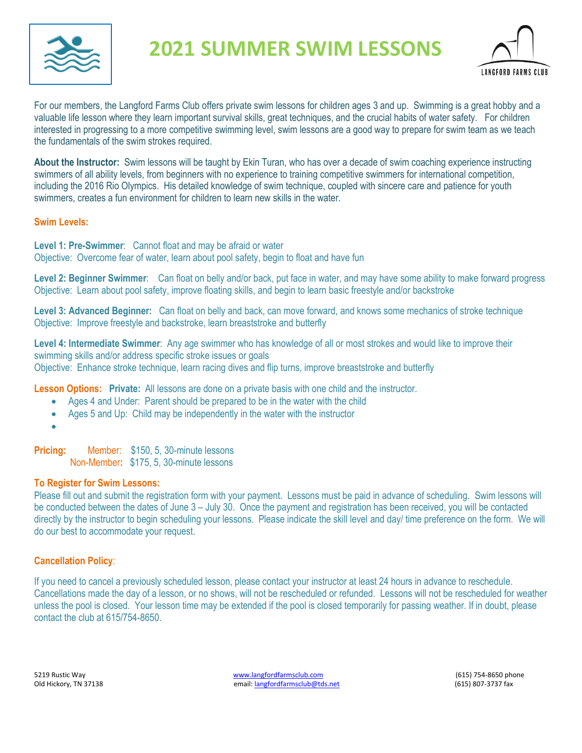

# **2021 SUMMER SWIM LESSONS**



For our members, the Langford Farms Club offers private swim lessons for children ages 3 and up. Swimming is a great hobby and a valuable life lesson where they learn important survival skills, great techniques, and the crucial habits of water safety. For children interested in progressing to a more competitive swimming level, swim lessons are a good way to prepare for swim team as we teach the fundamentals of the swim strokes required.

**About the Instructor:** Swim lessons will be taught by Ekin Turan, who has over a decade of swim coaching experience instructing swimmers of all ability levels, from beginners with no experience to training competitive swimmers for international competition, including the 2016 Rio Olympics. His detailed knowledge of swim technique, coupled with sincere care and patience for youth swimmers, creates a fun environment for children to learn new skills in the water.

### **Swim Levels:**

**Level 1: Pre-Swimmer**: Cannot float and may be afraid or water Objective: Overcome fear of water, learn about pool safety, begin to float and have fun

**Level 2: Beginner Swimmer**: Can float on belly and/or back, put face in water, and may have some ability to make forward progress Objective: Learn about pool safety, improve floating skills, and begin to learn basic freestyle and/or backstroke

**Level 3: Advanced Beginner:** Can float on belly and back, can move forward, and knows some mechanics of stroke technique Objective: Improve freestyle and backstroke, learn breaststroke and butterfly

**Level 4: Intermediate Swimmer**: Any age swimmer who has knowledge of all or most strokes and would like to improve their swimming skills and/or address specific stroke issues or goals Objective: Enhance stroke technique, learn racing dives and flip turns, improve breaststroke and butterfly

**Lesson Options: Private:** All lessons are done on a private basis with one child and the instructor.

- Ages 4 and Under: Parent should be prepared to be in the water with the child
- Ages 5 and Up: Child may be independently in the water with the instructor
- •

**Pricing:** Member: \$150, 5, 30-minute lessons

Non-Member**:** \$175, 5, 30-minute lessons

## **To Register for Swim Lessons:**

Please fill out and submit the registration form with your payment. Lessons must be paid in advance of scheduling. Swim lessons will be conducted between the dates of June 3 – July 30. Once the payment and registration has been received, you will be contacted directly by the instructor to begin scheduling your lessons. Please indicate the skill level and day/ time preference on the form. We will do our best to accommodate your request.

## **Cancellation Policy**:

If you need to cancel a previously scheduled lesson, please contact your instructor at least 24 hours in advance to reschedule. Cancellations made the day of a lesson, or no shows, will not be rescheduled or refunded. Lessons will not be rescheduled for weather unless the pool is closed. Your lesson time may be extended if the pool is closed temporarily for passing weather. If in doubt, please contact the club at 615/754-8650.